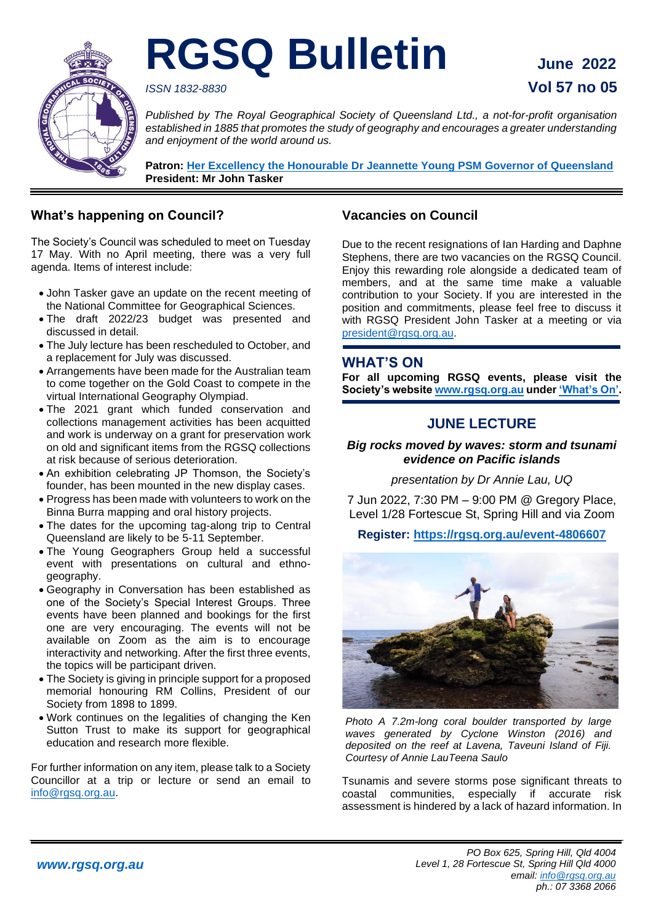

# **RGSQ Bulletin June 2022**

# *ISSN 1832-8830* **Vol 57 no 05**

*Published by The Royal Geographical Society of Queensland Ltd., a not-for-profit organisation established in 1885 that promotes the study of geography and encourages a greater understanding and enjoyment of the world around us.*

**Patron: Her Excellency the Honourable Dr [Jeannette Young PSM Governor of Queensland](https://www.govhouse.qld.gov.au/the-governor-of-queensland/about-the-governor/the-governor-s-biography) President: Mr John Tasker**

# **What's happening on Council?**

The Society's Council was scheduled to meet on Tuesday 17 May. With no April meeting, there was a very full agenda. Items of interest include:

- John Tasker gave an update on the recent meeting of the National Committee for Geographical Sciences.
- The draft 2022/23 budget was presented and discussed in detail.
- The July lecture has been rescheduled to October, and a replacement for July was discussed.
- Arrangements have been made for the Australian team to come together on the Gold Coast to compete in the virtual International Geography Olympiad.
- The 2021 grant which funded conservation and collections management activities has been acquitted and work is underway on a grant for preservation work on old and significant items from the RGSQ collections at risk because of serious deterioration.
- An exhibition celebrating JP Thomson, the Society's founder, has been mounted in the new display cases.
- Progress has been made with volunteers to work on the Binna Burra mapping and oral history projects.
- The dates for the upcoming tag-along trip to Central Queensland are likely to be 5-11 September.
- The Young Geographers Group held a successful event with presentations on cultural and ethnogeography.
- Geography in Conversation has been established as one of the Society's Special Interest Groups. Three events have been planned and bookings for the first one are very encouraging. The events will not be available on Zoom as the aim is to encourage interactivity and networking. After the first three events, the topics will be participant driven.
- The Society is giving in principle support for a proposed memorial honouring RM Collins, President of our Society from 1898 to 1899.
- Work continues on the legalities of changing the Ken Sutton Trust to make its support for geographical education and research more flexible.

For further information on any item, please talk to a Society Councillor at a trip or lecture or send an email to [info@rgsq.org.au.](mailto:info@rgsq.org.au)

# **Vacancies on Council**

Due to the recent resignations of Ian Harding and Daphne Stephens, there are two vacancies on the RGSQ Council. Enjoy this rewarding role alongside a dedicated team of members, and at the same time make a valuable contribution to your Society. If you are interested in the position and commitments, please feel free to discuss it with RGSQ President John Tasker at a meeting or via [president@rgsq.org.au.](mailto:president@rgsq.org.au)

#### **WHAT'S ON**

**For all upcoming RGSQ events, please visit the Society's websit[e www.rgsq.org.au](http://www.rgsq.org.au/) under ['What's On'.](https://rgsq.org.au/whatson)**

# **JUNE LECTURE**

# *Big rocks moved by waves: storm and tsunami evidence on Pacific islands*

*presentation by Dr Annie Lau, UQ*

7 Jun 2022, 7:30 PM – 9:00 PM @ Gregory Place, Level 1/28 Fortescue St, Spring Hill and via Zoom

**Register:<https://rgsq.org.au/event-4806607>**



*Photo A 7.2m-long coral boulder transported by large waves generated by Cyclone Winston (2016) and deposited on the reef at Lavena, Taveuni Island of Fiji. Courtesy of Annie LauTeena Saulo*

Tsunamis and severe storms pose significant threats to coastal communities, especially if accurate risk assessment is hindered by a lack of hazard information. In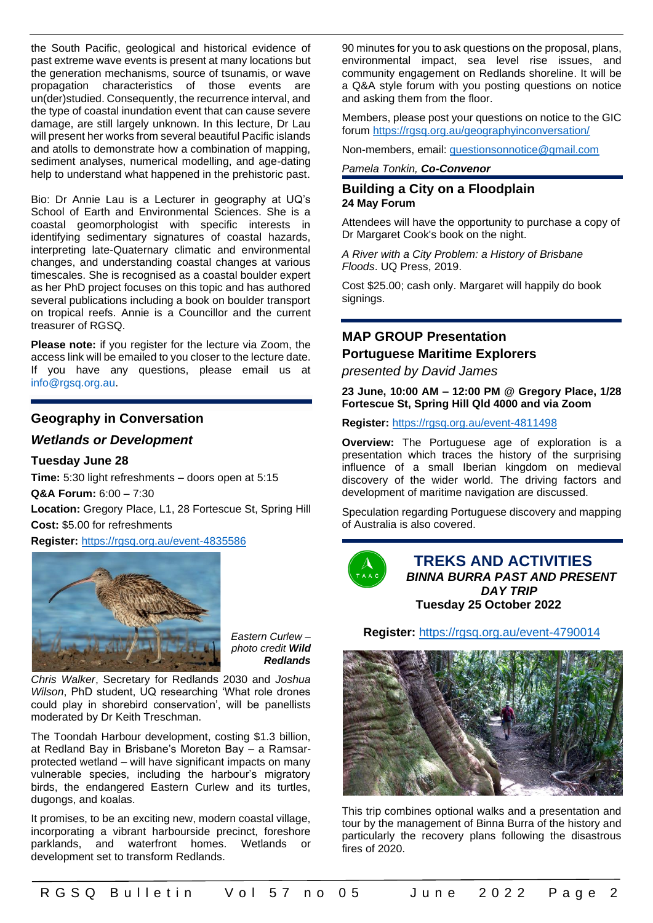the South Pacific, geological and historical evidence of past extreme wave events is present at many locations but the generation mechanisms, source of tsunamis, or wave propagation characteristics of those events are un(der)studied. Consequently, the recurrence interval, and the type of coastal inundation event that can cause severe damage, are still largely unknown. In this lecture, Dr Lau will present her works from several beautiful Pacific islands and atolls to demonstrate how a combination of mapping, sediment analyses, numerical modelling, and age-dating help to understand what happened in the prehistoric past.

Bio: Dr Annie Lau is a Lecturer in geography at UQ's School of Earth and Environmental Sciences. She is a coastal geomorphologist with specific interests in identifying sedimentary signatures of coastal hazards, interpreting late-Quaternary climatic and environmental changes, and understanding coastal changes at various timescales. She is recognised as a coastal boulder expert as her PhD project focuses on this topic and has authored several publications including a book on boulder transport on tropical reefs. Annie is a Councillor and the current treasurer of RGSQ.

**Please note:** if you register for the lecture via Zoom, the access link will be emailed to you closer to the lecture date. If you have any questions, please email us at [info@rgsq.org.au.](mailto:info@rgsq.org.au)

# **Geography in Conversation**

#### *Wetlands or Development*

#### **Tuesday June 28**

**Time:** 5:30 light refreshments – doors open at 5:15 **Q&A Forum:** 6:00 – 7:30 **Location:** Gregory Place, L1, 28 Fortescue St, Spring Hill **Cost:** \$5.00 for refreshments

**Register:** <https://rgsq.org.au/event-4835586>



*Eastern Curlew – photo credit Wild Redlands*

*Chris Walker*, Secretary for Redlands 2030 and *Joshua Wilson*, PhD student, UQ researching 'What role drones could play in shorebird conservation', will be panellists moderated by Dr Keith Treschman.

The Toondah Harbour development, costing \$1.3 billion, at Redland Bay in Brisbane's Moreton Bay – a Ramsarprotected wetland – will have significant impacts on many vulnerable species, including the harbour's migratory birds, the endangered Eastern Curlew and its turtles, dugongs, and koalas.

It promises, to be an exciting new, modern coastal village, incorporating a vibrant harbourside precinct, foreshore parklands, and waterfront homes. Wetlands or development set to transform Redlands.

90 minutes for you to ask questions on the proposal, plans, environmental impact, sea level rise issues, and community engagement on Redlands shoreline. It will be a Q&A style forum with you posting questions on notice and asking them from the floor.

Members, please post your questions on notice to the GIC forum <https://rgsq.org.au/geographyinconversation/>

Non-members, email: [questionsonnotice@gmail.com](mailto:questionsonnotice@gmail.com)

#### *Pamela Tonkin, Co-Convenor*

#### **Building a City on a Floodplain 24 May Forum**

Attendees will have the opportunity to purchase a copy of Dr Margaret Cook's book on the night.

*A River with a City Problem: a History of Brisbane Floods*. UQ Press, 2019.

Cost \$25.00; cash only. Margaret will happily do book signings.

# **MAP GROUP Presentation**

#### **Portuguese Maritime Explorers**

*presented by David James*

**23 June, 10:00 AM – 12:00 PM @ Gregory Place, 1/28 Fortescue St, Spring Hill Qld 4000 and via Zoom** 

**Register:** <https://rgsq.org.au/event-4811498>

**Overview:** The Portuguese age of exploration is a presentation which traces the history of the surprising influence of a small Iberian kingdom on medieval discovery of the wider world. The driving factors and development of maritime navigation are discussed.

Speculation regarding Portuguese discovery and mapping of Australia is also covered.



 **TREKS AND ACTIVITIES**  *BINNA BURRA PAST AND PRESENT DAY TRIP*  **Tuesday 25 October 2022**

**Register:** <https://rgsq.org.au/event-4790014>



This trip combines optional walks and a presentation and tour by the management of Binna Burra of the history and particularly the recovery plans following the disastrous fires of 2020.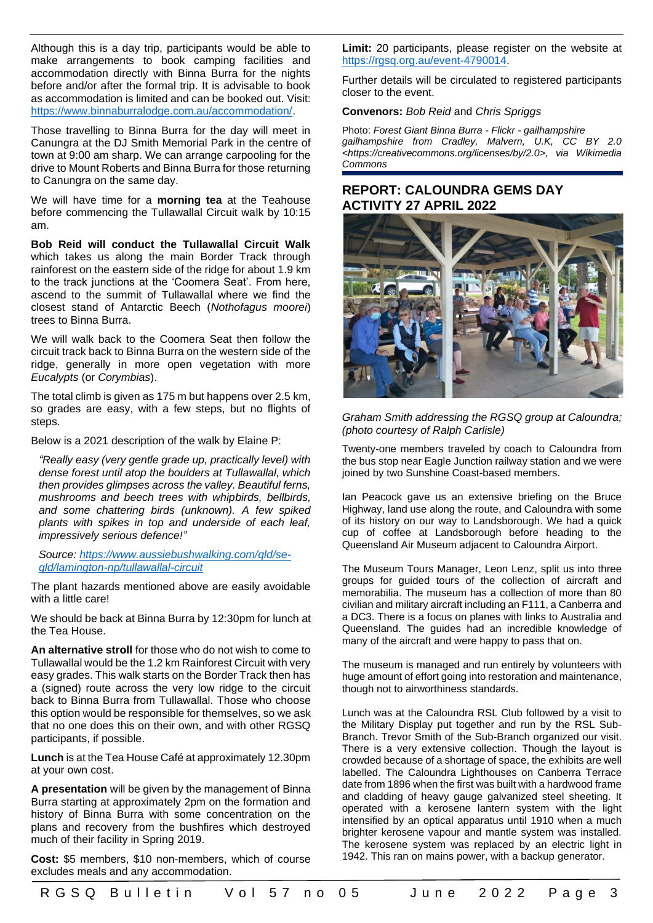Although this is a day trip, participants would be able to make arrangements to book camping facilities and accommodation directly with Binna Burra for the nights before and/or after the formal trip. It is advisable to book as accommodation is limited and can be booked out. Visit: [https://www.binnaburralodge.com.au/accommodation/.](https://www.binnaburralodge.com.au/accommodation/)

Those travelling to Binna Burra for the day will meet in Canungra at the DJ Smith Memorial Park in the centre of town at 9:00 am sharp. We can arrange carpooling for the drive to Mount Roberts and Binna Burra for those returning to Canungra on the same day.

We will have time for a **morning tea** at the Teahouse before commencing the Tullawallal Circuit walk by 10:15 am.

**Bob Reid will conduct the Tullawallal Circuit Walk** which takes us along the main Border Track through rainforest on the eastern side of the ridge for about 1.9 km to the track junctions at the 'Coomera Seat'. From here, ascend to the summit of Tullawallal where we find the closest stand of Antarctic Beech (*Nothofagus moorei*) trees to Binna Burra.

We will walk back to the Coomera Seat then follow the circuit track back to Binna Burra on the western side of the ridge, generally in more open vegetation with more *Eucalypts* (or *Corymbias*).

The total climb is given as 175 m but happens over 2.5 km, so grades are easy, with a few steps, but no flights of steps.

Below is a 2021 description of the walk by Elaine P:

*"Really easy (very gentle grade up, practically level) with dense forest until atop the boulders at Tullawallal, which then provides glimpses across the valley. Beautiful ferns, mushrooms and beech trees with whipbirds, bellbirds, and some chattering birds (unknown). A few spiked plants with spikes in top and underside of each leaf, impressively serious defence!"*

*Source: [https://www.aussiebushwalking.com/qld/se](https://www.aussiebushwalking.com/qld/se-qld/lamington-np/tullawallal-circuit)[qld/lamington-np/tullawallal-circuit](https://www.aussiebushwalking.com/qld/se-qld/lamington-np/tullawallal-circuit)*

The plant hazards mentioned above are easily avoidable with a little care!

We should be back at Binna Burra by 12:30pm for lunch at the Tea House.

**An alternative stroll** for those who do not wish to come to Tullawallal would be the 1.2 km Rainforest Circuit with very easy grades. This walk starts on the Border Track then has a (signed) route across the very low ridge to the circuit back to Binna Burra from Tullawallal. Those who choose this option would be responsible for themselves, so we ask that no one does this on their own, and with other RGSQ participants, if possible.

**Lunch** is at the Tea House Café at approximately 12.30pm at your own cost.

**A presentation** will be given by the management of Binna Burra starting at approximately 2pm on the formation and history of Binna Burra with some concentration on the plans and recovery from the bushfires which destroyed much of their facility in Spring 2019.

**Cost:** \$5 members, \$10 non-members, which of course excludes meals and any accommodation.

**Limit:** 20 participants, please register on the website at [https://rgsq.org.au/event-4790014.](https://rgsq.org.au/event-4790014)

Further details will be circulated to registered participants closer to the event.

**Convenors:** *Bob Reid* and *Chris Spriggs*

Photo: *Forest Giant Binna Burra - Flickr - gailhampshire gailhampshire from Cradley, Malvern, U.K, CC BY 2.0 <https://creativecommons.org/licenses/by/2.0>, via Wikimedia Commons*

# **REPORT: CALOUNDRA GEMS DAY ACTIVITY 27 APRIL 2022**



*Graham Smith addressing the RGSQ group at Caloundra; (photo courtesy of Ralph Carlisle)*

Twenty-one members traveled by coach to Caloundra from the bus stop near Eagle Junction railway station and we were joined by two Sunshine Coast-based members.

Ian Peacock gave us an extensive briefing on the Bruce Highway, land use along the route, and Caloundra with some of its history on our way to Landsborough. We had a quick cup of coffee at Landsborough before heading to the Queensland Air Museum adjacent to Caloundra Airport.

The Museum Tours Manager, Leon Lenz, split us into three groups for guided tours of the collection of aircraft and memorabilia. The museum has a collection of more than 80 civilian and military aircraft including an F111, a Canberra and a DC3. There is a focus on planes with links to Australia and Queensland. The guides had an incredible knowledge of many of the aircraft and were happy to pass that on.

The museum is managed and run entirely by volunteers with huge amount of effort going into restoration and maintenance, though not to airworthiness standards.

Lunch was at the Caloundra RSL Club followed by a visit to the Military Display put together and run by the RSL Sub-Branch. Trevor Smith of the Sub-Branch organized our visit. There is a very extensive collection. Though the layout is crowded because of a shortage of space, the exhibits are well labelled. The Caloundra Lighthouses on Canberra Terrace date from 1896 when the first was built with a hardwood frame and cladding of heavy gauge galvanized steel sheeting. It operated with a kerosene lantern system with the light intensified by an optical apparatus until 1910 when a much brighter kerosene vapour and mantle system was installed. The kerosene system was replaced by an electric light in 1942. This ran on mains power, with a backup generator.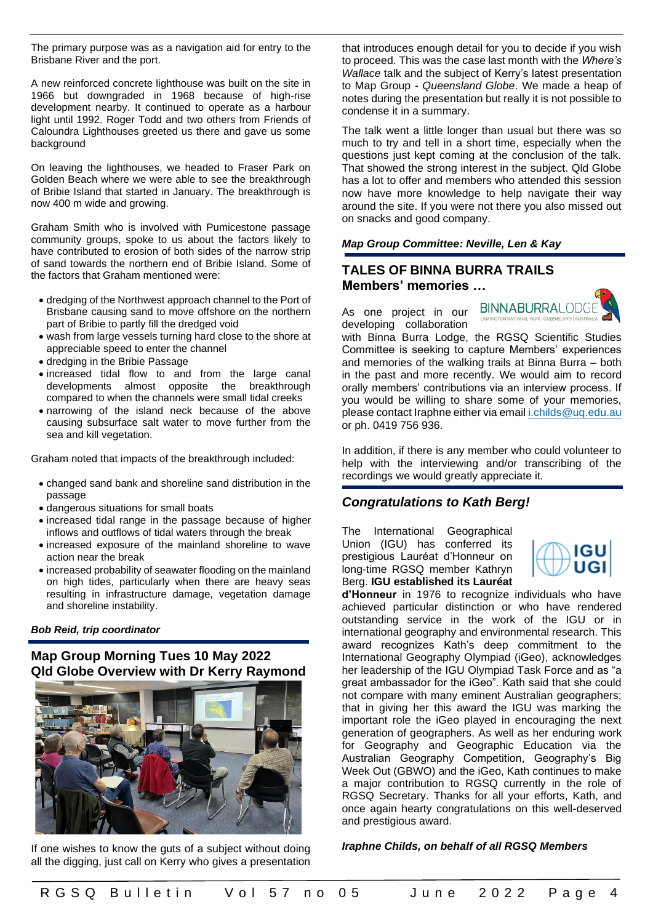The primary purpose was as a navigation aid for entry to the Brisbane River and the port.

A new reinforced concrete lighthouse was built on the site in 1966 but downgraded in 1968 because of high-rise development nearby. It continued to operate as a harbour light until 1992. Roger Todd and two others from Friends of Caloundra Lighthouses greeted us there and gave us some background

On leaving the lighthouses, we headed to Fraser Park on Golden Beach where we were able to see the breakthrough of Bribie Island that started in January. The breakthrough is now 400 m wide and growing.

Graham Smith who is involved with Pumicestone passage community groups, spoke to us about the factors likely to have contributed to erosion of both sides of the narrow strip of sand towards the northern end of Bribie Island. Some of the factors that Graham mentioned were:

- dredging of the Northwest approach channel to the Port of Brisbane causing sand to move offshore on the northern part of Bribie to partly fill the dredged void
- wash from large vessels turning hard close to the shore at appreciable speed to enter the channel
- dredging in the Bribie Passage
- increased tidal flow to and from the large canal developments almost opposite the breakthrough compared to when the channels were small tidal creeks
- narrowing of the island neck because of the above causing subsurface salt water to move further from the sea and kill vegetation.

Graham noted that impacts of the breakthrough included:

- changed sand bank and shoreline sand distribution in the passage
- dangerous situations for small boats
- increased tidal range in the passage because of higher inflows and outflows of tidal waters through the break
- increased exposure of the mainland shoreline to wave action near the break
- increased probability of seawater flooding on the mainland on high tides, particularly when there are heavy seas resulting in infrastructure damage, vegetation damage and shoreline instability.

#### *Bob Reid, trip coordinator*

#### **Map Group Morning Tues 10 May 2022 Qld Globe Overview with Dr Kerry Raymond**



If one wishes to know the guts of a subject without doing all the digging, just call on Kerry who gives a presentation that introduces enough detail for you to decide if you wish to proceed. This was the case last month with the *Where's Wallace* talk and the subject of Kerry's latest presentation to Map Group - *Queensland Globe*. We made a heap of notes during the presentation but really it is not possible to condense it in a summary.

The talk went a little longer than usual but there was so much to try and tell in a short time, especially when the questions just kept coming at the conclusion of the talk. That showed the strong interest in the subject. Qld Globe has a lot to offer and members who attended this session now have more knowledge to help navigate their way around the site. If you were not there you also missed out on snacks and good company.

#### *Map Group Committee: Neville, Len & Kay*

# **TALES OF BINNA BURRA TRAILS Members' memories …**

As one project in our BINNABURRALODG developing collaboration



with Binna Burra Lodge, the RGSQ Scientific Studies Committee is seeking to capture Members' experiences and memories of the walking trails at Binna Burra – both in the past and more recently. We would aim to record orally members' contributions via an interview process. If you would be willing to share some of your memories, please contact Iraphne either via emai[l i.childs@uq.edu.au](mailto:i.childs@uq.edu.au) or ph. 0419 756 936.

In addition, if there is any member who could volunteer to help with the interviewing and/or transcribing of the recordings we would greatly appreciate it.

#### *Congratulations to Kath Berg!*

The International Geographical Union (IGU) has conferred its prestigious Lauréat d'Honneur on long-time RGSQ member Kathryn Berg. **IGU established its Lauréat** 



**d'Honneur** in 1976 to recognize individuals who have achieved particular distinction or who have rendered outstanding service in the work of the IGU or in international geography and environmental research. This award recognizes Kath's deep commitment to the International Geography Olympiad (iGeo), acknowledges her leadership of the IGU Olympiad Task Force and as "a great ambassador for the iGeo". Kath said that she could not compare with many eminent Australian geographers; that in giving her this award the IGU was marking the important role the iGeo played in encouraging the next generation of geographers. As well as her enduring work for Geography and Geographic Education via the Australian Geography Competition, Geography's Big Week Out (GBWO) and the iGeo, Kath continues to make a major contribution to RGSQ currently in the role of RGSQ Secretary. Thanks for all your efforts, Kath, and once again hearty congratulations on this well-deserved and prestigious award.

#### *Iraphne Childs, on behalf of all RGSQ Members*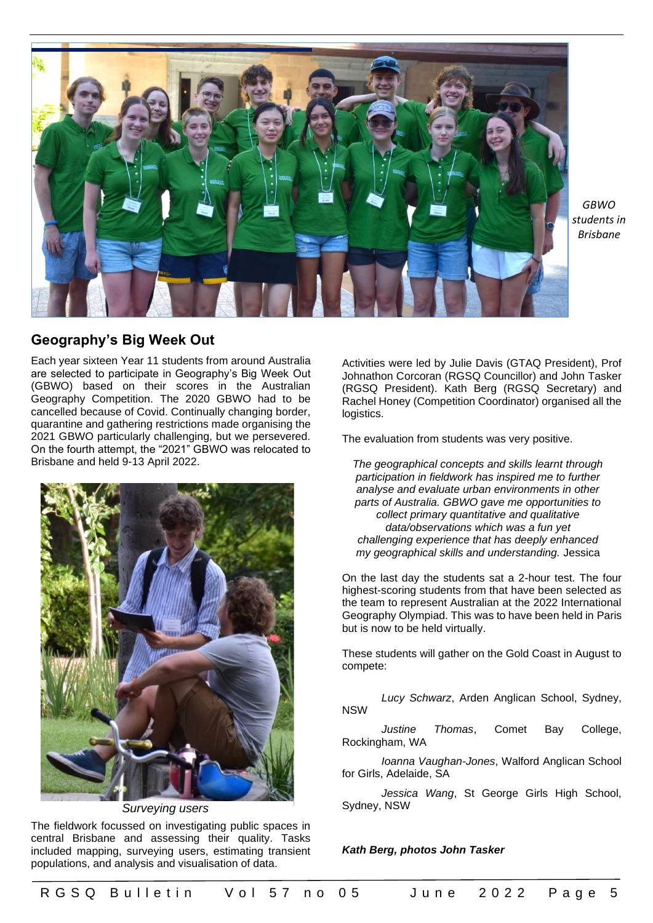

*GBWO students in Brisbane*

# **Geography's Big Week Out**

Each year sixteen Year 11 students from around Australia are selected to participate in Geography's Big Week Out (GBWO) based on their scores in the Australian Geography Competition. The 2020 GBWO had to be cancelled because of Covid. Continually changing border, quarantine and gathering restrictions made organising the 2021 GBWO particularly challenging, but we persevered. On the fourth attempt, the "2021" GBWO was relocated to Brisbane and held 9-13 April 2022.



*Surveying users*

The fieldwork focussed on investigating public spaces in central Brisbane and assessing their quality. Tasks included mapping, surveying users, estimating transient populations, and analysis and visualisation of data.

Activities were led by Julie Davis (GTAQ President), Prof Johnathon Corcoran (RGSQ Councillor) and John Tasker (RGSQ President). Kath Berg (RGSQ Secretary) and Rachel Honey (Competition Coordinator) organised all the logistics.

The evaluation from students was very positive.

*The geographical concepts and skills learnt through participation in fieldwork has inspired me to further analyse and evaluate urban environments in other parts of Australia. GBWO gave me opportunities to collect primary quantitative and qualitative data/observations which was a fun yet challenging experience that has deeply enhanced my geographical skills and understanding.* Jessica

On the last day the students sat a 2-hour test. The four highest-scoring students from that have been selected as the team to represent Australian at the 2022 International Geography Olympiad. This was to have been held in Paris but is now to be held virtually.

These students will gather on the Gold Coast in August to compete:

*Lucy Schwarz*, Arden Anglican School, Sydney, NSW

*Justine Thomas*, Comet Bay College, Rockingham, WA

*Ioanna Vaughan-Jones*, Walford Anglican School for Girls, Adelaide, SA

*Jessica Wang*, St George Girls High School, Sydney, NSW

*Kath Berg, photos John Tasker*